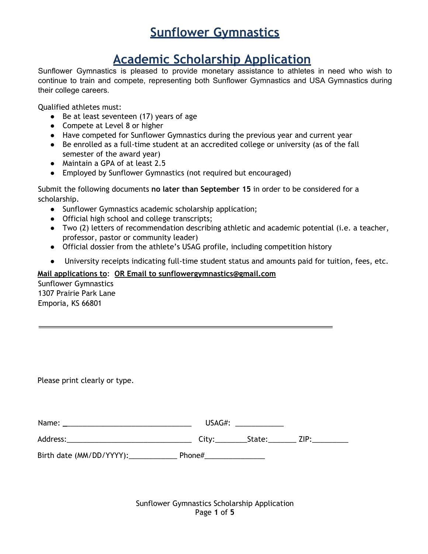## **Academic Scholarship Application**

Sunflower Gymnastics is pleased to provide monetary assistance to athletes in need who wish to continue to train and compete, representing both Sunflower Gymnastics and USA Gymnastics during their college careers.

Qualified athletes must:

- Be at least seventeen (17) years of age
- Compete at Level 8 or higher
- Have competed for Sunflower Gymnastics during the previous year and current year
- Be enrolled as a full-time student at an accredited college or university (as of the fall semester of the award year)
- Maintain a GPA of at least 2.5
- Employed by Sunflower Gymnastics (not required but encouraged)

Submit the following documents **no later than September 15** in order to be considered for a scholarship.

- Sunflower Gymnastics academic scholarship application;
- Official high school and college transcripts;
- Two (2) letters of recommendation describing athletic and academic potential (i.e. a teacher, professor, pastor or community leader)
- Official dossier from the athlete's USAG profile, including competition history
- University receipts indicating full-time student status and amounts paid for tuition, fees, etc.

#### **Mail applications to**: **OR Email to sunflowergymnastics@gmail.com**

Sunflower Gymnastics 1307 Prairie Park Lane Emporia, KS 66801

Please print clearly or type.

| Name:    | USAG#: |             |  |
|----------|--------|-------------|--|
| Address: | City:  | State: ZIP: |  |

Birth date (MM/DD/YYYY): Phone#

Sunflower Gymnastics Scholarship Application Page **1** of **5**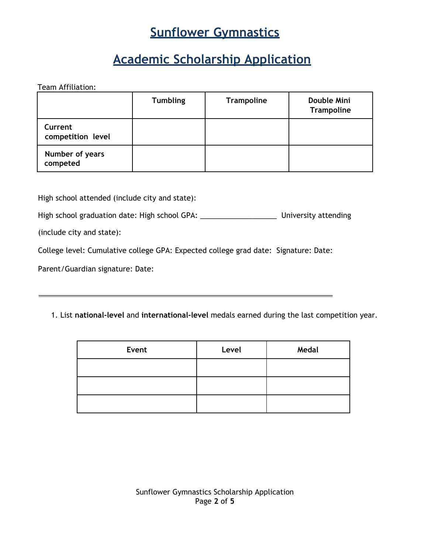## **Academic Scholarship Application**

Team Affiliation:

|                              | <b>Tumbling</b> | Trampoline | Double Mini<br>Trampoline |
|------------------------------|-----------------|------------|---------------------------|
| Current<br>competition level |                 |            |                           |
| Number of years<br>competed  |                 |            |                           |

High school attended (include city and state):

High school graduation date: High school GPA: \_\_\_\_\_\_\_\_\_\_\_\_\_\_\_\_\_\_\_\_\_\_\_\_\_\_\_\_\_\_\_\_\_\_ University attending

(include city and state):

College level: Cumulative college GPA: Expected college grad date: Signature: Date:

Parent/Guardian signature: Date:

1. List **national-level** and **international-level** medals earned during the last competition year.

| Event | Level | Medal |
|-------|-------|-------|
|       |       |       |
|       |       |       |
|       |       |       |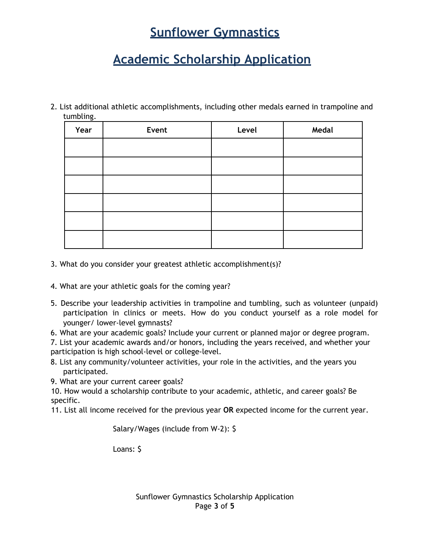## **Academic Scholarship Application**

2. List additional athletic accomplishments, including other medals earned in trampoline and tumbling.

| Year | Event | Level | Medal |
|------|-------|-------|-------|
|      |       |       |       |
|      |       |       |       |
|      |       |       |       |
|      |       |       |       |
|      |       |       |       |
|      |       |       |       |

- 3. What do you consider your greatest athletic accomplishment(s)?
- 4. What are your athletic goals for the coming year?
- 5. Describe your leadership activities in trampoline and tumbling, such as volunteer (unpaid) participation in clinics or meets. How do you conduct yourself as a role model for younger/ lower-level gymnasts?
- 6. What are your academic goals? Include your current or planned major or degree program.

7. List your academic awards and/or honors, including the years received, and whether your participation is high school-level or college-level.

8. List any community/volunteer activities, your role in the activities, and the years you participated.

9. What are your current career goals?

10. How would a scholarship contribute to your academic, athletic, and career goals? Be specific.

11. List all income received for the previous year **OR** expected income for the current year.

Salary/Wages (include from W-2): \$

Loans: \$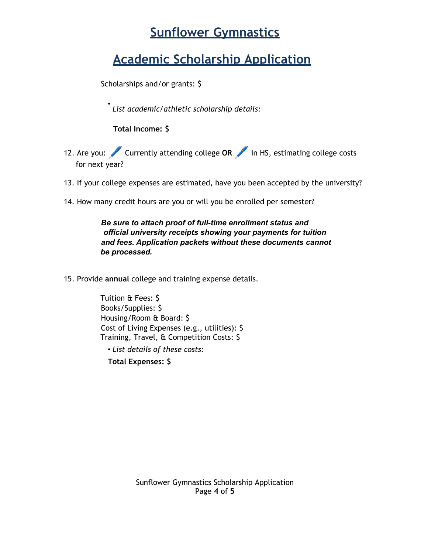## **Academic Scholarship Application**

Scholarships and/or grants: \$

• *List academic/athletic scholarship details:*

**Total Income: \$**

- 12. Are you: Currently attending college OR in HS, estimating college costs for next year?
- 13. If your college expenses are estimated, have you been accepted by the university?
- 14. How many credit hours are you or will you be enrolled per semester?

*Be sure to attach proof of full-time enrollment status and official university receipts showing your payments for tuition and fees. Application packets without these documents cannot be processed.*

15. Provide **annual** college and training expense details.

Tuition & Fees: \$ Books/Supplies: \$ Housing/Room & Board: \$ Cost of Living Expenses (e.g., utilities): \$ Training, Travel, & Competition Costs: \$ • *List details of these costs*:

**Total Expenses: \$**